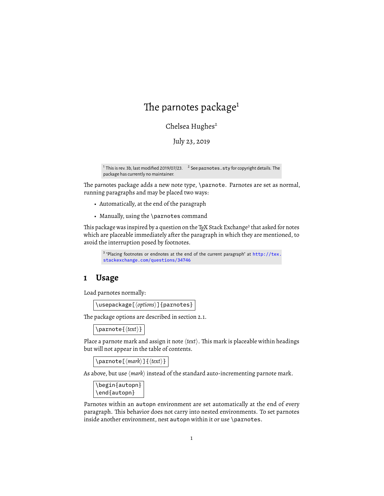# The parnotes package $1$

Chelsea Hughes $2$ 

July 23, 2019

<sup>1</sup> This is rev. 3b, last modified 2019/07/23. <sup>2</sup> See parnotes . sty for copyright details. The package has currently no maintainer.

The parnotes package adds a new note type, \parnote. Parnotes are set as normal, running paragraphs and may be placed two ways:

- Automatically, at the end of the paragraph
- Manually, using the \parnotes command

This package was inspired by a question on the T<sub>E</sub>X Stack Exchange<sup>3</sup> that asked for notes which are placeable immediately after the paragraph in which they are mentioned, to avoid the interruption posed by footnotes.

```
3 "Placing footnotes or endnotes at the end of the current paragraph" at http://tex.stackexchange.com/questions/34746
```
## **1 Usage**

Load parnotes normally:

\usepackage[ $\langle$ options}] {parnotes}

The package options are described in section 2.1.

\parnote{ $\langle \text{text} \rangle$ }

Place a parnote mark and assign it note  $\langle text \rangle$ . This mark is placeable within headings but will not appear in the table of contents.

\parnote[ $\langle mark \rangle$ ] { $\langle text \rangle$ }

As above, but use  $\langle mark \rangle$  instead of the standard auto-incrementing parnote mark.

```
\begin{autopn}
\end{autopn}
```
Parnotes within an autopn environment are set automatically at the end of every paragraph. This behavior does not carry into nested environments. To set parnotes inside another environment, nest autopn within it or use \parnotes.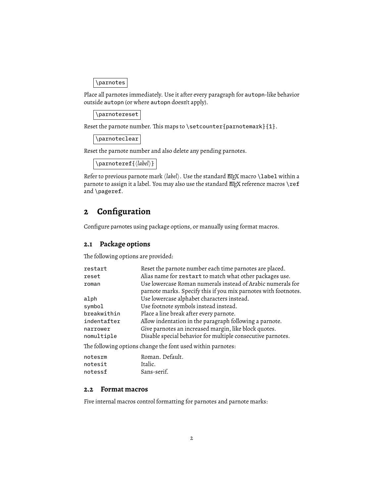\parnotes

Place all parnotes immediately. Use it after every paragraph for autopn-like behavior outside autopn (or where autopn doesn't apply).

\parnotereset

Reset the parnote number. This maps to \setcounter {parnotemark}  ${1}$ .

\parnoteclear

Reset the parnote number and also delete any pending parnotes.

\parnoteref{ $\langle$ *label*}}

Refer to previous parnote mark *(label)*. Use the standard EIFX macro \label within a parnote to assign it a label. You may also use the standard  $E$ FX reference macros \ref and \pageref.

# **2 Configuration**

Configure parnotes using package options, or manually using format macros.

## **2.1 Package options**

The following options are provided:

| restart                                                     | Reset the parnote number each time parnotes are placed.         |  |
|-------------------------------------------------------------|-----------------------------------------------------------------|--|
| reset                                                       | Alias name for restart to match what other packages use.        |  |
| roman                                                       | Use lowercase Roman numerals instead of Arabic numerals for     |  |
|                                                             | parnote marks. Specify this if you mix parnotes with footnotes. |  |
| alph                                                        | Use lowercase alphabet characters instead.                      |  |
| symbol                                                      | Use footnote symbols instead instead.                           |  |
| breakwithin                                                 | Place a line break after every parnote.                         |  |
| indentafter                                                 | Allow indentation in the paragraph following a parnote.         |  |
| narrower                                                    | Give parnotes an increased margin, like block quotes.           |  |
| nomultiple                                                  | Disable special behavior for multiple consecutive parnotes.     |  |
| The following options change the font used within parnotes: |                                                                 |  |
|                                                             |                                                                 |  |

| notesrm | Roman, Default. |
|---------|-----------------|
| notesit | Italic.         |
| notessf | Sans-serif.     |

### **2.2 Format macros**

Five internal macros control formatting for parnotes and parnote marks: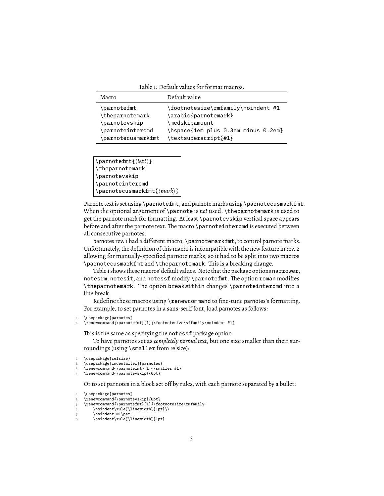Table 1: Default values for format macros.

| Macro               | Default value                       |
|---------------------|-------------------------------------|
| \parnotefmt         | \footnotesize\rmfamily\noindent #1  |
| \theparnotemark     | \arabic{parnotemark}                |
| \parnotevskip       | \medskipamount                      |
| \parnoteintercmd    | \hspace{1em plus 0.3em minus 0.2em} |
| \parnotecusmarkfmt\ | \textsuperscript{#1}                |

\parnotefmt{h*text*i} \theparnotemark \parnotevskip \parnoteintercmd \parnotecusmarkfmt{*{mark*}}

Parnote text is set using \parnotefmt, and parnote marks using \parnotecusmarkfmt. When the optional argument of \parnote is *not* used, \theparnotemark is used to get the parnote mark for formatting. At least \parnotevskip vertical space appears before and after the parnote text. The macro \parnoteintercmd is executed between all consecutive parnotes.

parnotes rev. 1 had a different macro, \parnotemarkfmt, to control parnote marks. Unfortunately, the definition of this macro is incompatible with the new feature in rev. 2 allowing for manually-specified parnote marks, so it had to be split into two macros \parnotecusmarkfmt and \theparnotemark. This is a breaking change.

Table 1 shows these macros' default values. Note that the package options narrower, notesrm, notesit, and notessf modify \parnotefmt. The option roman modifies \theparnotemark. The option breakwithin changes \parnoteintercmd into a line break.

Redefine these macros using \renewcommand to fine-tune parnotes's formatting. For example, to set parnotes in a sans-serif font, load parnotes as follows:

2 \renewcommand{\parnotefmt}[1]{\footnotesize\sffamily\noindent #1}

This is the same as specifying the notessf package option.

To have parnotes set as *completely normal text*, but one size smaller than their surroundings (using \smaller from relsize):

Or to set parnotes in a block set off by rules, with each parnote separated by a bullet:

```
1 \usepackage{parnotes}
```

```
2 \renewcommand{\parnotevskip}{0pt}
```

```
3 \renewcommand{\parnotefmt}[1]{\footnotesize\rmfamily
```

```
4 \noindent\rule{\linewidth}{1pt}\\
```

```
5 \t\t \n\in \mathbb{R}
```

```
6 \noindent\rule{\linewidth}{1pt}
```
<sup>\</sup>usepackage{parnotes}

<sup>\</sup>usepackage{relsize}

<sup>\</sup>usepackage[indentafter]{parnotes}

<sup>\</sup>renewcommand{\parnotefmt}[1]{\smaller #1}

<sup>4</sup> \renewcommand{\parnotevskip}{0pt}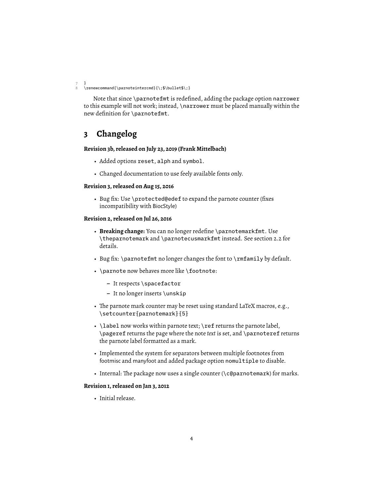7 } 8 \renewcommand{\parnoteintercmd}{\;\$\bullet\$\;}

Note that since \parnotefmt is redefined, adding the package option narrower to this example will not work; instead, \narrower must be placed manually within the new definition for \parnotefmt.

## **3 Changelog**

#### **Revision 3b, released on July 23, 2019 (Frank Mittelbach)**

- Added options reset, alph and symbol.
- Changed documentation to use feely available fonts only.

#### **Revision 3, released on Aug 15, 2016**

• Bug fix: Use \protected@edef to expand the parnote counter (fixes incompatibility with BiocStyle)

#### **Revision 2, released on Jul 26, 2016**

- **Breaking change:** You can no longer redefine \parnotemarkfmt. Use \theparnotemark and \parnotecusmarkfmt instead. See section 2.2 for details.
- Bug fix: \parnotefmt no longer changes the font to \rmfamily by default.
- \parnote now behaves more like \footnote:
	- **–** It respects \spacefactor
	- **–** It no longer inserts \unskip
- The parnote mark counter may be reset using standard LaTeX macros, e.g., \setcounter{parnotemark}{5}
- \label now works within parnote text; \ref returns the parnote label, \pageref returns the page where the note *text* is set, and \parnoteref returns the parnote label formatted as a mark.
- Implemented the system for separators between multiple footnotes from footmisc and manyfoot and added package option nomultiple to disable.
- Internal: The package now uses a single counter (\c@parnotemark) for marks.

### **Revision 1, released on Jan 3, 2012**

• Initial release.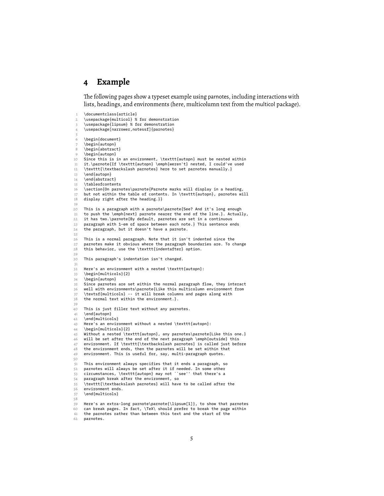## **4 Example**

The following pages show a typeset example using parnotes, including interactions with lists, headings, and environments (here, multicolumn text from the multicol package).

\documentclass{article} 2 \usepackage{multicol} % for demonstration 3 \usepackage{lipsum} % for demonstration \usepackage[narrower,notessf]{parnotes} 5 \begin{document} 7 \begin{autopn} 8 \begin{abstract} 9 \begin{autopn} 10 Since this is in an environment, \texttt{autopn} must be nested within 11 it.\parnote{If \texttt{autopn} \emph{weren't} nested, I could've used 12 \texttt{\textbackslash parnotes} here to set parnotes manually.} 13 \end{autopn} 14 \end{abstract} 15 \tableofcontents 16 \section{On parnotes\parnote{Parnote marks will display in a heading, 17 but not within the table of contents. In \texttt{autopn}, parnotes will 18 display right after the heading.}} 19 20 This is a paragraph with a parnote\parnote{See? And it's long enough 21 to push the  $\emptyset$ mph{next} parnote nearer the end of the line.}. Actually, 22 it has two.\parnote{By default, parnotes are set in a continuous 23 paragraph with 1~em of space between each note. $}$  This sentence ends 24 the paragraph, but it doesn't have a parnote.  $25$ 26 This is a normal paragraph. Note that it isn't indented since the 27 parnotes make it obvious where the paragraph boundaries are. To change<br>28 this behavior use the \texttt{indentafter} ontion this behavior, use the \texttt{indentafter} option. 29 30 This paragraph's indentation isn't changed. 31 32 Here's an environment with a nested \texttt{autopn}:<br>33 \begin{multicols}{2} \begin{multicols}{2} 34 \begin{autopn}  $35$  Since parnotes are set within the normal paragraph flow, they interact<br> $36$  well with environments\parnote{Like this multicolumn environment from well with environments\parnote{Like this multicolumn environment from  $37$  \textsf{multicols} -- it will break columns and pages along with  $38$  the normal text within the environment.}. the normal text within the environment.}. 39 40 This is just filler text without any parnotes.<br>41 \end{autopn} 41 \end{autopn}<br>42 \end{multico \end{multicols} 43 Here's an environment without a nested \texttt{autopn}:<br>44 \begin{multicols}{2} \begin{multicols}{2} 45 Without a nested \texttt{autopn}, any parnotes\parnote{Like this one.} 46 will be set after the end of the next paragraph \emph{outside} this 47 environment. If \texttt{\textbackslash parnotes} is called just before 48 the environment ends, then the parnotes will be set within that  $49$  environment. This is useful for, say, multi-paragraph quotes. environment. This is useful for, say, multi-paragraph quotes. 50 51 This environment always specifies that it ends a paragraph, so<br>52 parnotes will always be set after it if needed. In some other parnotes will always be set after it if needed. In some other 53 circumstances, \texttt{autopn} may not ``see'' that there's a 54 paragraph break after the environment, so<br>55 \texttt{\textbackslash parnotes} will have  $\text{text}$  texttt{\textbackslash parnotes} will have to be called after the 56 environment ends.<br>57 \end{multicols} \end{multicols} 58 59 Here's an extra-long parnote\parnote{\lipsum[1]}, to show that parnotes  $\frac{60}{10}$  can break pages In fact  $\Delta$  should prefer to break the page within can break pages. In fact,  $\text{TeV}$  should prefer to break the page within 61 the parnotes rather than between this text and the start of the

<sup>62</sup> parnotes.